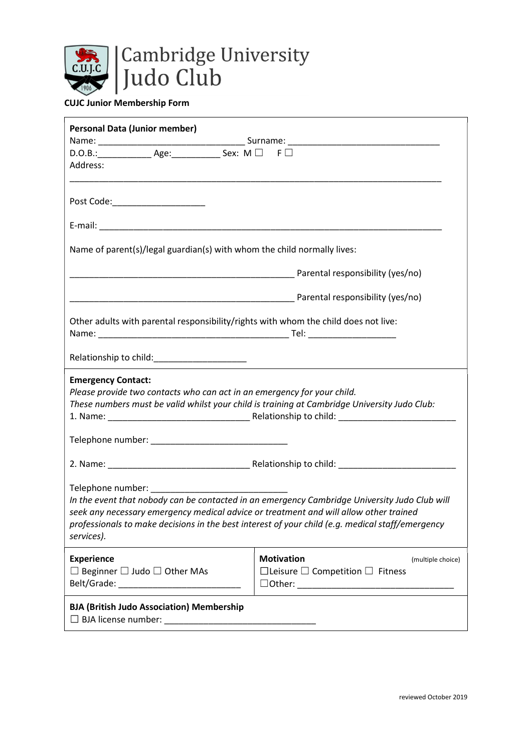

## CUJC Junior Membership Form

| <b>Personal Data (Junior member)</b>                                                                                                                                                                                                                                                                                            |                                                  |  |
|---------------------------------------------------------------------------------------------------------------------------------------------------------------------------------------------------------------------------------------------------------------------------------------------------------------------------------|--------------------------------------------------|--|
|                                                                                                                                                                                                                                                                                                                                 |                                                  |  |
| $D.O.B.:$ Age: Sex: M $\Box$ F $\Box$                                                                                                                                                                                                                                                                                           |                                                  |  |
| Address:                                                                                                                                                                                                                                                                                                                        |                                                  |  |
|                                                                                                                                                                                                                                                                                                                                 |                                                  |  |
| Post Code:______________________                                                                                                                                                                                                                                                                                                |                                                  |  |
|                                                                                                                                                                                                                                                                                                                                 |                                                  |  |
|                                                                                                                                                                                                                                                                                                                                 |                                                  |  |
|                                                                                                                                                                                                                                                                                                                                 |                                                  |  |
| Name of parent(s)/legal guardian(s) with whom the child normally lives:                                                                                                                                                                                                                                                         |                                                  |  |
|                                                                                                                                                                                                                                                                                                                                 |                                                  |  |
|                                                                                                                                                                                                                                                                                                                                 |                                                  |  |
|                                                                                                                                                                                                                                                                                                                                 |                                                  |  |
|                                                                                                                                                                                                                                                                                                                                 | Parental responsibility (yes/no)                 |  |
|                                                                                                                                                                                                                                                                                                                                 |                                                  |  |
| Other adults with parental responsibility/rights with whom the child does not live:                                                                                                                                                                                                                                             |                                                  |  |
|                                                                                                                                                                                                                                                                                                                                 |                                                  |  |
|                                                                                                                                                                                                                                                                                                                                 |                                                  |  |
|                                                                                                                                                                                                                                                                                                                                 |                                                  |  |
| <b>Emergency Contact:</b>                                                                                                                                                                                                                                                                                                       |                                                  |  |
| Please provide two contacts who can act in an emergency for your child.                                                                                                                                                                                                                                                         |                                                  |  |
| These numbers must be valid whilst your child is training at Cambridge University Judo Club:                                                                                                                                                                                                                                    |                                                  |  |
|                                                                                                                                                                                                                                                                                                                                 |                                                  |  |
|                                                                                                                                                                                                                                                                                                                                 |                                                  |  |
|                                                                                                                                                                                                                                                                                                                                 |                                                  |  |
|                                                                                                                                                                                                                                                                                                                                 |                                                  |  |
|                                                                                                                                                                                                                                                                                                                                 |                                                  |  |
|                                                                                                                                                                                                                                                                                                                                 |                                                  |  |
| Telephone number: New York Changes and Changes and Changes and Changes and Changes and Changes and Changes and Changes and Changes and Changes and Changes and Changes and Changes and Changes and Changes and Changes and Cha<br>In the event that nobody can be contacted in an emergency Cambridge University Judo Club will |                                                  |  |
| seek any necessary emergency medical advice or treatment and will allow other trained                                                                                                                                                                                                                                           |                                                  |  |
|                                                                                                                                                                                                                                                                                                                                 |                                                  |  |
| professionals to make decisions in the best interest of your child (e.g. medical staff/emergency<br>services).                                                                                                                                                                                                                  |                                                  |  |
|                                                                                                                                                                                                                                                                                                                                 |                                                  |  |
| <b>Experience</b>                                                                                                                                                                                                                                                                                                               | <b>Motivation</b><br>(multiple choice)           |  |
| $\Box$ Beginner $\Box$ Judo $\Box$ Other MAs                                                                                                                                                                                                                                                                                    | $\Box$ Leisure $\Box$ Competition $\Box$ Fitness |  |
|                                                                                                                                                                                                                                                                                                                                 |                                                  |  |
|                                                                                                                                                                                                                                                                                                                                 |                                                  |  |
| <b>BJA (British Judo Association) Membership</b>                                                                                                                                                                                                                                                                                |                                                  |  |
|                                                                                                                                                                                                                                                                                                                                 |                                                  |  |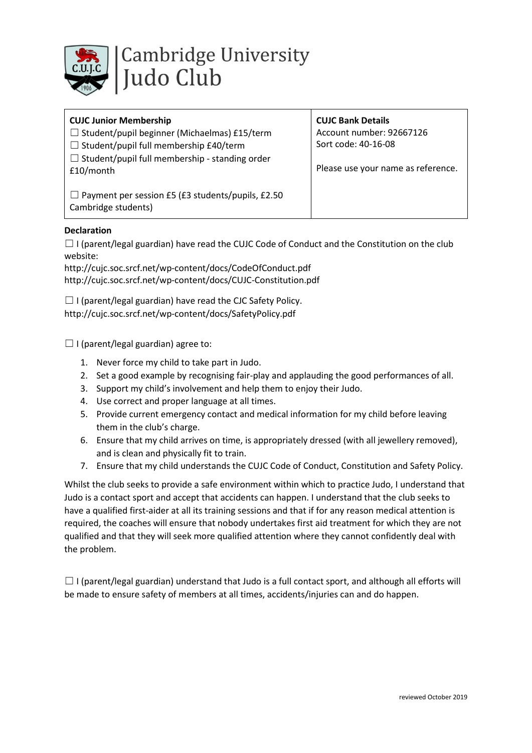

## CUJC Junior Membership

☐ Student/pupil beginner (Michaelmas) £15/term

 $\Box$  Student/pupil full membership £40/term

 $\Box$  Student/pupil full membership - standing order £10/month

 $\Box$  Payment per session £5 (£3 students/pupils, £2.50 Cambridge students)

CUJC Bank Details Account number: 92667126

Sort code: 40-16-08

Please use your name as reference.

Declaration

 $\Box$  I (parent/legal guardian) have read the CUJC Code of Conduct and the Constitution on the club website:

http://cujc.soc.srcf.net/wp-content/docs/CodeOfConduct.pdf http://cujc.soc.srcf.net/wp-content/docs/CUJC-Constitution.pdf

 $\Box$  I (parent/legal guardian) have read the CJC Safety Policy. http://cujc.soc.srcf.net/wp-content/docs/SafetyPolicy.pdf

 $\Box$  I (parent/legal guardian) agree to:

- 1. Never force my child to take part in Judo.
- 2. Set a good example by recognising fair-play and applauding the good performances of all.
- 3. Support my child's involvement and help them to enjoy their Judo.
- 4. Use correct and proper language at all times.
- 5. Provide current emergency contact and medical information for my child before leaving them in the club's charge.
- 6. Ensure that my child arrives on time, is appropriately dressed (with all jewellery removed), and is clean and physically fit to train.
- 7. Ensure that my child understands the CUJC Code of Conduct, Constitution and Safety Policy.

Whilst the club seeks to provide a safe environment within which to practice Judo, I understand that Judo is a contact sport and accept that accidents can happen. I understand that the club seeks to have a qualified first-aider at all its training sessions and that if for any reason medical attention is required, the coaches will ensure that nobody undertakes first aid treatment for which they are not qualified and that they will seek more qualified attention where they cannot confidently deal with the problem.

 $\Box$  I (parent/legal guardian) understand that Judo is a full contact sport, and although all efforts will be made to ensure safety of members at all times, accidents/injuries can and do happen.